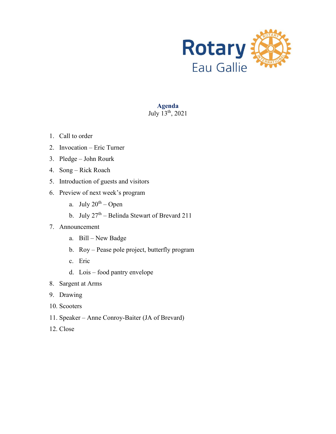

**Agenda** July  $13^{th}$ , 2021

- 1. Call to order
- 2. Invocation Eric Turner
- 3. Pledge John Rourk
- 4. Song Rick Roach
- 5. Introduction of guests and visitors
- 6. Preview of next week's program
	- a. July  $20^{th}$  Open
	- b. July  $27<sup>th</sup>$  Belinda Stewart of Brevard 211
- 7. Announcement
	- a. Bill New Badge
	- b. Roy Pease pole project, butterfly program
	- c. Eric
	- d. Lois food pantry envelope
- 8. Sargent at Arms
- 9. Drawing
- 10. Scooters
- 11. Speaker Anne Conroy-Baiter (JA of Brevard)
- 12. Close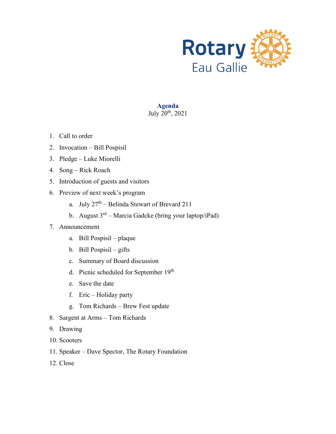

**Agenda** July  $20^{th}$ , 2021

- 1. Call to order
- 2. Invocation Bill Pospisil
- 3. Pledge Luke Miorelli
- 4. Song Rick Roach
- 5. Introduction of guests and visitors
- 6. Preview of next week's program
	- a. July  $27<sup>th</sup>$  Belinda Stewart of Brevard 211
	- b. August  $3<sup>rd</sup>$  Marcia Gadcke (bring your laptop/iPad)

- a. Bill Pospisil plaque
- b. Bill Pospisil gifts
- c. Summary of Board discussion
- d. Picnic scheduled for September 19th
- e. Save the date
- f. Eric Holiday party
- g. Tom Richards Brew Fest update
- 8. Sargent at Arms Tom Richards
- 9. Drawing
- 10. Scooters
- 11. Speaker Dave Spector, The Rotary Foundation
- 12. Close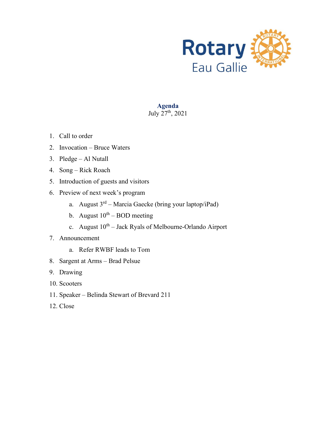

**Agenda** July 27th, 2021

- 1. Call to order
- 2. Invocation Bruce Waters
- 3. Pledge Al Nutall
- 4. Song Rick Roach
- 5. Introduction of guests and visitors
- 6. Preview of next week's program
	- a. August  $3<sup>rd</sup> Marcia Gaecke (bring your laptop/iPad)$
	- b. August  $10^{th}$  BOD meeting
	- c. August  $10^{th}$  Jack Ryals of Melbourne-Orlando Airport

- a. Refer RWBF leads to Tom
- 8. Sargent at Arms Brad Pelsue
- 9. Drawing
- 10. Scooters
- 11. Speaker Belinda Stewart of Brevard 211
- 12. Close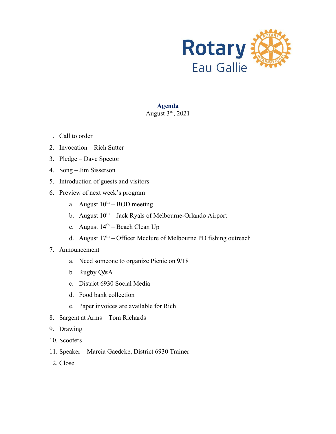

# **Agenda**

# August  $3<sup>rd</sup>$ , 2021

- 1. Call to order
- 2. Invocation Rich Sutter
- 3. Pledge Dave Spector
- 4. Song Jim Sisserson
- 5. Introduction of guests and visitors
- 6. Preview of next week's program
	- a. August  $10^{th}$  BOD meeting
	- b. August  $10^{th}$  Jack Ryals of Melbourne-Orlando Airport
	- c. August  $14^{th}$  Beach Clean Up
	- d. August  $17<sup>th</sup>$  Officer Mcclure of Melbourne PD fishing outreach
- 7. Announcement
	- a. Need someone to organize Picnic on 9/18
	- b. Rugby Q&A
	- c. District 6930 Social Media
	- d. Food bank collection
	- e. Paper invoices are available for Rich
- 8. Sargent at Arms Tom Richards
- 9. Drawing
- 10. Scooters
- 11. Speaker Marcia Gaedcke, District 6930 Trainer
- 12. Close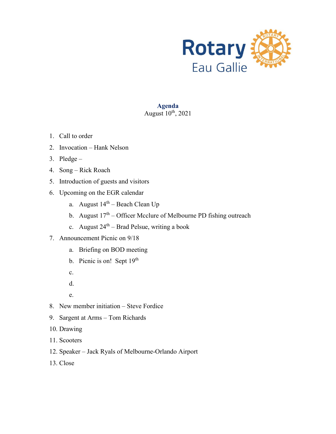

# **Agenda**

# August  $10^{th}$ , 2021

- 1. Call to order
- 2. Invocation Hank Nelson
- 3. Pledge –
- 4. Song Rick Roach
- 5. Introduction of guests and visitors
- 6. Upcoming on the EGR calendar
	- a. August  $14<sup>th</sup>$  Beach Clean Up
	- b. August  $17<sup>th</sup>$  Officer Mcclure of Melbourne PD fishing outreach
	- c. August  $24^{th}$  Brad Pelsue, writing a book
- 7. Announcement Picnic on 9/18
	- a. Briefing on BOD meeting
	- b. Picnic is on! Sept 19th
	- c.
	- d.
	- e.
- 8. New member initiation Steve Fordice
- 9. Sargent at Arms Tom Richards
- 10. Drawing
- 11. Scooters
- 12. Speaker Jack Ryals of Melbourne-Orlando Airport
- 13. Close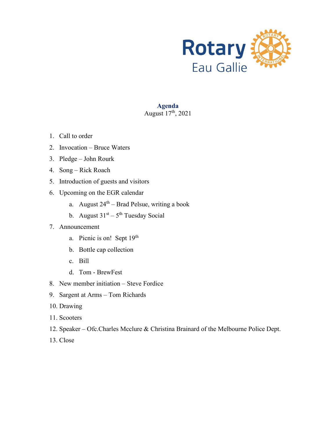

#### **Agenda** August  $17<sup>th</sup>$ , 2021

- 1. Call to order
- 2. Invocation Bruce Waters
- 3. Pledge John Rourk
- 4. Song Rick Roach
- 5. Introduction of guests and visitors
- 6. Upcoming on the EGR calendar
	- a. August  $24<sup>th</sup> Brad Pelsue$ , writing a book
	- b. August  $31<sup>st</sup> 5<sup>th</sup> Tuesday Social$

- a. Picnic is on! Sept 19<sup>th</sup>
- b. Bottle cap collection
- c. Bill
- d. Tom BrewFest
- 8. New member initiation Steve Fordice
- 9. Sargent at Arms Tom Richards
- 10. Drawing
- 11. Scooters
- 12. Speaker Ofc.Charles Mcclure & Christina Brainard of the Melbourne Police Dept.
- 13. Close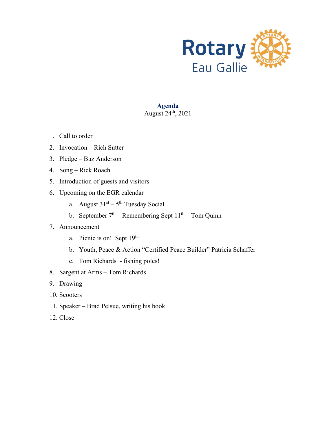

# **Agenda**

# August  $24<sup>th</sup>$ , 2021

- 1. Call to order
- 2. Invocation Rich Sutter
- 3. Pledge Buz Anderson
- 4. Song Rick Roach
- 5. Introduction of guests and visitors
- 6. Upcoming on the EGR calendar
	- a. August  $31<sup>st</sup> 5<sup>th</sup> Tuesday Social$
	- b. September  $7<sup>th</sup>$  Remembering Sept  $11<sup>th</sup>$  Tom Quinn

- a. Picnic is on! Sept 19<sup>th</sup>
- b. Youth, Peace & Action "Certified Peace Builder" Patricia Schaffer
- c. Tom Richards fishing poles!
- 8. Sargent at Arms Tom Richards
- 9. Drawing
- 10. Scooters
- 11. Speaker Brad Pelsue, writing his book
- 12. Close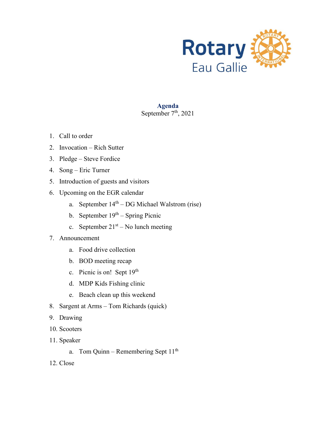

#### **Agenda** September  $7<sup>th</sup>$ , 2021

- 1. Call to order
- 2. Invocation Rich Sutter
- 3. Pledge Steve Fordice
- 4. Song Eric Turner
- 5. Introduction of guests and visitors
- 6. Upcoming on the EGR calendar
	- a. September  $14<sup>th</sup> DG Michael Walstrom (rise)$
	- b. September  $19<sup>th</sup>$  Spring Picnic
	- c. September  $21<sup>st</sup> No$  lunch meeting

- a. Food drive collection
- b. BOD meeting recap
- c. Picnic is on! Sept 19th
- d. MDP Kids Fishing clinic
- e. Beach clean up this weekend
- 8. Sargent at Arms Tom Richards (quick)
- 9. Drawing
- 10. Scooters
- 11. Speaker
	- a. Tom Quinn Remembering Sept  $11<sup>th</sup>$
- 12. Close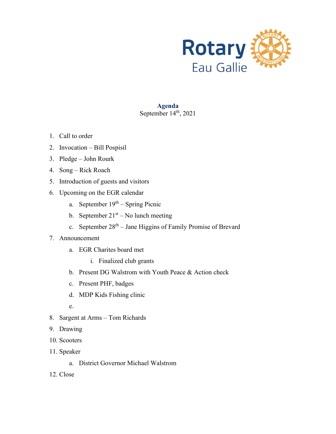

#### **Agenda** September  $14<sup>th</sup>$ , 2021

- 1. Call to order
- 2. Invocation Bill Pospisil
- 3. Pledge John Rourk
- 4. Song Rick Roach
- 5. Introduction of guests and visitors
- 6. Upcoming on the EGR calendar
	- a. September  $19<sup>th</sup>$  Spring Picnic
	- b. September  $21<sup>st</sup> No$  lunch meeting
	- c. September  $28<sup>th</sup> Jane Higgsins$  of Family Promise of Brevard

- a. EGR Charites board met
	- i. Finalized club grants
- b. Present DG Walstrom with Youth Peace & Action check
- c. Present PHF, badges
- d. MDP Kids Fishing clinic
- e.
- 8. Sargent at Arms Tom Richards
- 9. Drawing
- 10. Scooters
- 11. Speaker
	- a. District Governor Michael Walstrom
- 12. Close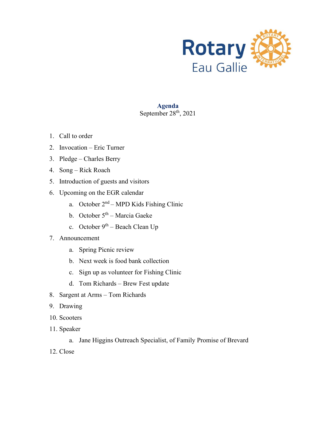

#### **Agenda** September  $28<sup>th</sup>$ , 2021

- 1. Call to order
- 2. Invocation Eric Turner
- 3. Pledge Charles Berry
- 4. Song Rick Roach
- 5. Introduction of guests and visitors
- 6. Upcoming on the EGR calendar
	- a. October  $2<sup>nd</sup> MPD$  Kids Fishing Clinic
	- b. October  $5<sup>th</sup>$  Marcia Gaeke
	- c. October  $9^{th}$  Beach Clean Up
- 7. Announcement
	- a. Spring Picnic review
	- b. Next week is food bank collection
	- c. Sign up as volunteer for Fishing Clinic
	- d. Tom Richards Brew Fest update
- 8. Sargent at Arms Tom Richards
- 9. Drawing
- 10. Scooters
- 11. Speaker
	- a. Jane Higgins Outreach Specialist, of Family Promise of Brevard
- 12. Close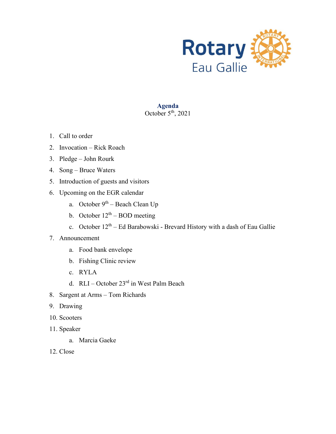

# **Agenda**

# October  $5<sup>th</sup>$ , 2021

- 1. Call to order
- 2. Invocation Rick Roach
- 3. Pledge John Rourk
- 4. Song Bruce Waters
- 5. Introduction of guests and visitors
- 6. Upcoming on the EGR calendar
	- a. October  $9<sup>th</sup>$  Beach Clean Up
	- b. October  $12<sup>th</sup> BOD$  meeting
	- c. October  $12^{th}$  Ed Barabowski Brevard History with a dash of Eau Gallie

- a. Food bank envelope
- b. Fishing Clinic review
- c. RYLA
- d. RLI October 23rd in West Palm Beach
- 8. Sargent at Arms Tom Richards
- 9. Drawing
- 10. Scooters
- 11. Speaker
	- a. Marcia Gaeke
- 12. Close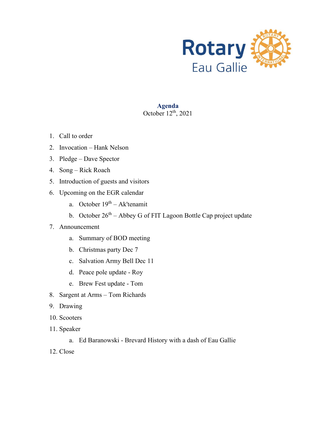

#### **Agenda** October  $12^{th}$ , 2021

- 1. Call to order
- 2. Invocation Hank Nelson
- 3. Pledge Dave Spector
- 4. Song Rick Roach
- 5. Introduction of guests and visitors
- 6. Upcoming on the EGR calendar
	- a. October  $19<sup>th</sup> Ak'tenamit$
	- b. October  $26<sup>th</sup> Abbey G$  of FIT Lagoon Bottle Cap project update

- a. Summary of BOD meeting
- b. Christmas party Dec 7
- c. Salvation Army Bell Dec 11
- d. Peace pole update Roy
- e. Brew Fest update Tom
- 8. Sargent at Arms Tom Richards
- 9. Drawing
- 10. Scooters
- 11. Speaker
	- a. Ed Baranowski Brevard History with a dash of Eau Gallie
- 12. Close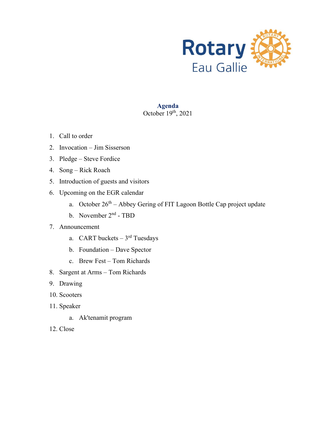

# **Agenda** October  $19<sup>th</sup>$ , 2021

- 1. Call to order
- 2. Invocation Jim Sisserson
- 3. Pledge Steve Fordice
- 4. Song Rick Roach
- 5. Introduction of guests and visitors
- 6. Upcoming on the EGR calendar
	- a. October  $26<sup>th</sup>$  Abbey Gering of FIT Lagoon Bottle Cap project update
	- b. November 2nd TBD
- 7. Announcement
	- a. CART buckets  $-3<sup>rd</sup>$  Tuesdays
	- b. Foundation Dave Spector
	- c. Brew Fest Tom Richards
- 8. Sargent at Arms Tom Richards
- 9. Drawing
- 10. Scooters
- 11. Speaker
	- a. Ak'tenamit program
- 12. Close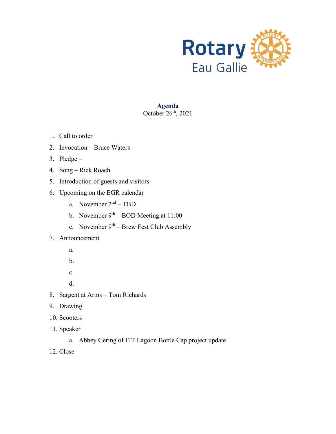

# **Agenda** October  $26<sup>th</sup>$ , 2021

- 1. Call to order
- 2. Invocation Bruce Waters
- 3. Pledge –
- 4. Song Rick Roach
- 5. Introduction of guests and visitors
- 6. Upcoming on the EGR calendar
	- a. November 2nd TBD
	- b. November  $9<sup>th</sup> BOD$  Meeting at 11:00
	- c. November  $9^{th}$  Brew Fest Club Assembly

- a.
- b.
- c.
- d.
- 8. Sargent at Arms Tom Richards
- 9. Drawing
- 10. Scooters
- 11. Speaker
	- a. Abbey Gering of FIT Lagoon Bottle Cap project update
- 12. Close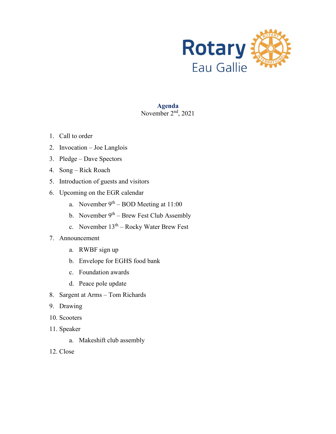

#### **Agenda** November  $2<sup>nd</sup>$ , 2021

- 1. Call to order
- 2. Invocation Joe Langlois
- 3. Pledge Dave Spectors
- 4. Song Rick Roach
- 5. Introduction of guests and visitors
- 6. Upcoming on the EGR calendar
	- a. November  $9<sup>th</sup> BOD$  Meeting at 11:00
	- b. November  $9<sup>th</sup>$  Brew Fest Club Assembly
	- c. November  $13<sup>th</sup>$  Rocky Water Brew Fest
- 7. Announcement
	- a. RWBF sign up
	- b. Envelope for EGHS food bank
	- c. Foundation awards
	- d. Peace pole update
- 8. Sargent at Arms Tom Richards
- 9. Drawing
- 10. Scooters
- 11. Speaker
	- a. Makeshift club assembly
- 12. Close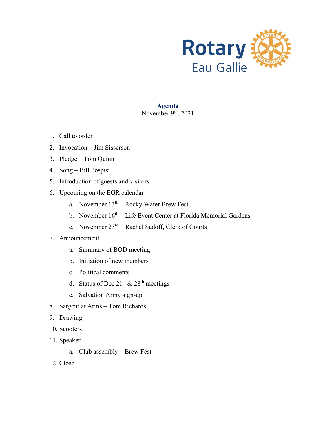

#### **Agenda** November  $9<sup>th</sup>$ , 2021

- 1. Call to order
- 2. Invocation Jim Sisserson
- 3. Pledge Tom Quinn
- 4. Song Bill Pospisil
- 5. Introduction of guests and visitors
- 6. Upcoming on the EGR calendar
	- a. November  $13<sup>th</sup>$  Rocky Water Brew Fest
	- b. November 16<sup>th</sup> Life Event Center at Florida Memorial Gardens
	- c. November  $23<sup>rd</sup>$  Rachel Sadoff, Clerk of Courts

- a. Summary of BOD meeting
- b. Initiation of new members
- c. Political comments
- d. Status of Dec  $21^{st}$  &  $28^{th}$  meetings
- e. Salvation Army sign-up
- 8. Sargent at Arms Tom Richards
- 9. Drawing
- 10. Scooters
- 11. Speaker
	- a. Club assembly Brew Fest
- 12. Close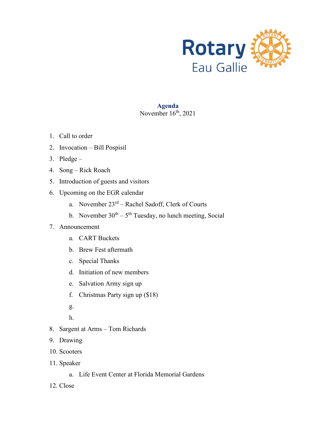

#### **Agenda** November  $16<sup>th</sup>$ , 2021

- 1. Call to order
- 2. Invocation Bill Pospisil
- 3. Pledge –
- 4. Song Rick Roach
- 5. Introduction of guests and visitors
- 6. Upcoming on the EGR calendar
	- a. November  $23^{rd}$  Rachel Sadoff, Clerk of Courts
	- b. November  $30<sup>th</sup> 5<sup>th</sup> Tuesday$ , no lunch meeting, Social

- a. CART Buckets
- b. Brew Fest aftermath
- c. Special Thanks
- d. Initiation of new members
- e. Salvation Army sign up
- f. Christmas Party sign up (\$18)
- g.
- h.
- 8. Sargent at Arms Tom Richards
- 9. Drawing
- 10. Scooters
- 11. Speaker
	- a. Life Event Center at Florida Memorial Gardens
- 12. Close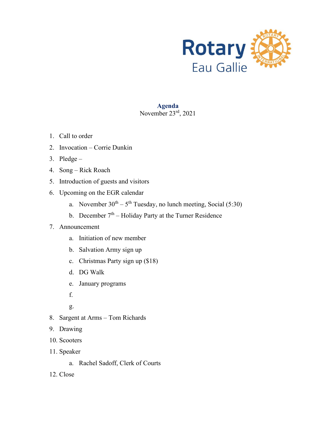

#### **Agenda** November 23rd, 2021

- 1. Call to order
- 2. Invocation Corrie Dunkin
- 3. Pledge –
- 4. Song Rick Roach
- 5. Introduction of guests and visitors
- 6. Upcoming on the EGR calendar
	- a. November  $30^{th} 5^{th}$  Tuesday, no lunch meeting, Social (5:30)
	- b. December  $7<sup>th</sup>$  Holiday Party at the Turner Residence

- a. Initiation of new member
- b. Salvation Army sign up
- c. Christmas Party sign up (\$18)
- d. DG Walk
- e. January programs
- f.
- g.
- 8. Sargent at Arms Tom Richards
- 9. Drawing
- 10. Scooters
- 11. Speaker
	- a. Rachel Sadoff, Clerk of Courts
- 12. Close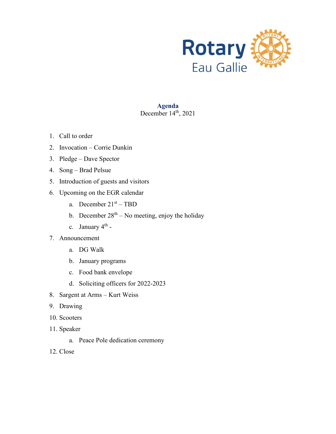

#### **Agenda** December  $14<sup>th</sup>$ , 2021

- 1. Call to order
- 2. Invocation Corrie Dunkin
- 3. Pledge Dave Spector
- 4. Song Brad Pelsue
- 5. Introduction of guests and visitors
- 6. Upcoming on the EGR calendar
	- a. December  $21^{st}$  TBD
	- b. December  $28<sup>th</sup> No meeting, enjoy the holiday$
	- c. January  $4<sup>th</sup>$  -
- 7. Announcement
	- a. DG Walk
	- b. January programs
	- c. Food bank envelope
	- d. Soliciting officers for 2022-2023
- 8. Sargent at Arms Kurt Weiss
- 9. Drawing
- 10. Scooters
- 11. Speaker
	- a. Peace Pole dedication ceremony
- 12. Close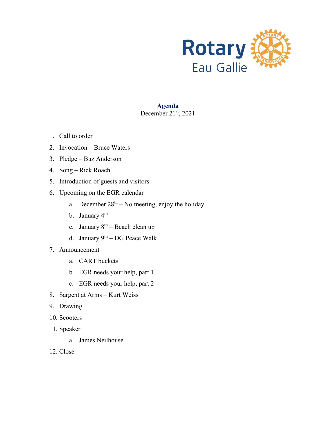

#### **Agenda** December 21st, 2021

- 1. Call to order
- 2. Invocation Bruce Waters
- 3. Pledge Buz Anderson
- 4. Song Rick Roach
- 5. Introduction of guests and visitors
- 6. Upcoming on the EGR calendar
	- a. December  $28<sup>th</sup> No meeting, enjoy the holiday$
	- b. January  $4^{th}$  –
	- c. January  $8^{th}$  Beach clean up
	- d. January  $9^{th}$  DG Peace Walk
- 7. Announcement
	- a. CART buckets
	- b. EGR needs your help, part 1
	- c. EGR needs your help, part 2
- 8. Sargent at Arms Kurt Weiss
- 9. Drawing
- 10. Scooters
- 11. Speaker
	- a. James Neilhouse
- 12. Close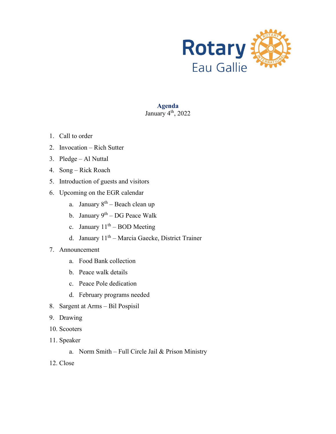

**Agenda** January  $4<sup>th</sup>$ , 2022

- 1. Call to order
- 2. Invocation Rich Sutter
- 3. Pledge Al Nuttal
- 4. Song Rick Roach
- 5. Introduction of guests and visitors
- 6. Upcoming on the EGR calendar
	- a. January  $8^{th}$  Beach clean up
	- b. January  $9^{th}$  DG Peace Walk
	- c. January  $11<sup>th</sup> BOD$  Meeting
	- d. January 11<sup>th</sup> Marcia Gaecke, District Trainer
- 7. Announcement
	- a. Food Bank collection
	- b. Peace walk details
	- c. Peace Pole dedication
	- d. February programs needed
- 8. Sargent at Arms Bil Pospisil
- 9. Drawing
- 10. Scooters
- 11. Speaker
	- a. Norm Smith Full Circle Jail & Prison Ministry
- 12. Close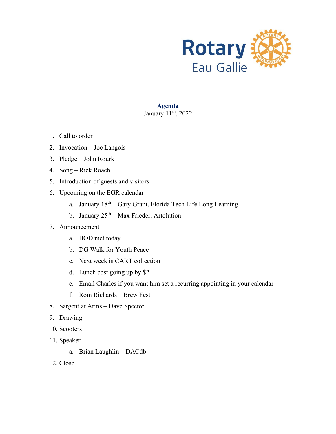

# **Agenda**

# January  $11<sup>th</sup>$ , 2022

- 1. Call to order
- 2. Invocation Joe Langois
- 3. Pledge John Rourk
- 4. Song Rick Roach
- 5. Introduction of guests and visitors
- 6. Upcoming on the EGR calendar
	- a. January  $18<sup>th</sup> Gary Grant, Florida Tech Life Long Learning$
	- b. January  $25<sup>th</sup> Max Frieder, Artolution$

- a. BOD met today
- b. DG Walk for Youth Peace
- c. Next week is CART collection
- d. Lunch cost going up by \$2
- e. Email Charles if you want him set a recurring appointing in your calendar
- f. Rom Richards Brew Fest
- 8. Sargent at Arms Dave Spector
- 9. Drawing
- 10. Scooters
- 11. Speaker
	- a. Brian Laughlin DACdb
- 12. Close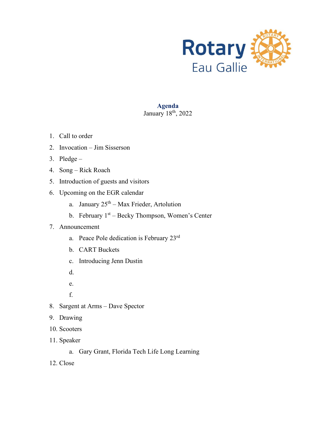

#### **Agenda** January  $18<sup>th</sup>$ , 2022

- 1. Call to order
- 2. Invocation Jim Sisserson
- 3. Pledge –
- 4. Song Rick Roach
- 5. Introduction of guests and visitors
- 6. Upcoming on the EGR calendar
	- a. January  $25<sup>th</sup> Max Frieder, Artolution$
	- b. February  $1<sup>st</sup>$  Becky Thompson, Women's Center

- a. Peace Pole dedication is February 23rd
- b. CART Buckets
- c. Introducing Jenn Dustin
- d.
- e.
- f.
- 8. Sargent at Arms Dave Spector
- 9. Drawing
- 10. Scooters
- 11. Speaker
	- a. Gary Grant, Florida Tech Life Long Learning
- 12. Close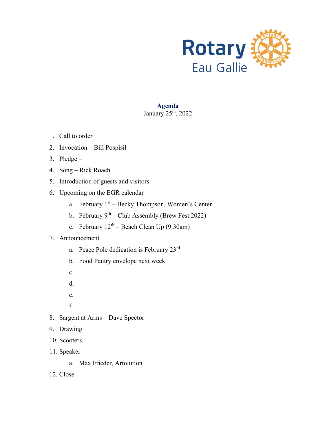

#### **Agenda** January  $25<sup>th</sup>$ , 2022

- 1. Call to order
- 2. Invocation Bill Pospisil
- 3. Pledge –
- 4. Song Rick Roach
- 5. Introduction of guests and visitors
- 6. Upcoming on the EGR calendar
	- a. February  $1<sup>st</sup>$  Becky Thompson, Women's Center
	- b. February  $9^{th}$  Club Assembly (Brew Fest 2022)
	- c. February  $12^{th}$  Beach Clean Up (9:30am)

- a. Peace Pole dedication is February 23rd
- b. Food Pantry envelope next week
- c.
- d.
- e.
- f.
- 8. Sargent at Arms Dave Spector
- 9. Drawing
- 10. Scooters
- 11. Speaker
	- a. Max Frieder, Artolution
- 12. Close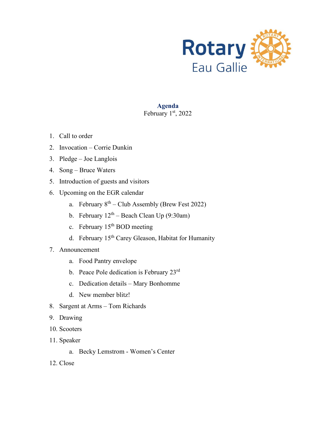

# **Agenda**

# February  $1<sup>st</sup>$ , 2022

- 1. Call to order
- 2. Invocation Corrie Dunkin
- 3. Pledge Joe Langlois
- 4. Song Bruce Waters
- 5. Introduction of guests and visitors
- 6. Upcoming on the EGR calendar
	- a. February  $8<sup>th</sup>$  Club Assembly (Brew Fest 2022)
	- b. February  $12<sup>th</sup>$  Beach Clean Up (9:30am)
	- c. February  $15<sup>th</sup>$  BOD meeting
	- d. February 15<sup>th</sup> Carey Gleason, Habitat for Humanity
- 7. Announcement
	- a. Food Pantry envelope
	- b. Peace Pole dedication is February 23rd
	- c. Dedication details Mary Bonhomme
	- d. New member blitz!
- 8. Sargent at Arms Tom Richards
- 9. Drawing
- 10. Scooters
- 11. Speaker
	- a. Becky Lemstrom Women's Center
- 12. Close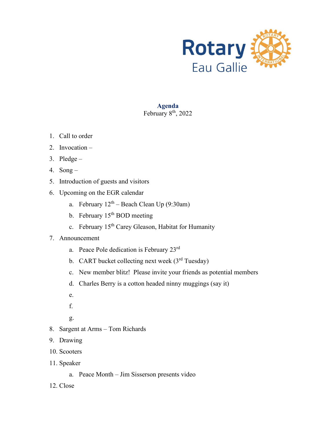

#### **Agenda** February  $8<sup>th</sup>$ , 2022

- 1. Call to order
- 2. Invocation –
- 3. Pledge –
- 4. Song –
- 5. Introduction of guests and visitors
- 6. Upcoming on the EGR calendar
	- a. February  $12<sup>th</sup>$  Beach Clean Up (9:30am)
	- b. February 15<sup>th</sup> BOD meeting
	- c. February 15<sup>th</sup> Carey Gleason, Habitat for Humanity
- 7. Announcement
	- a. Peace Pole dedication is February 23rd
	- b. CART bucket collecting next week  $(3<sup>rd</sup> Tuesday)$
	- c. New member blitz! Please invite your friends as potential members
	- d. Charles Berry is a cotton headed ninny muggings (say it)
	- e.
	- f.
	- g.
- 8. Sargent at Arms Tom Richards
- 9. Drawing
- 10. Scooters
- 11. Speaker
	- a. Peace Month Jim Sisserson presents video
- 12. Close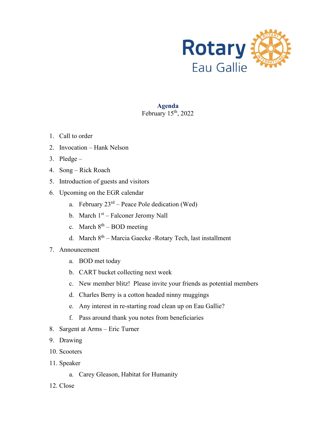

#### **Agenda** February  $15<sup>th</sup>$ , 2022

- 1. Call to order
- 2. Invocation Hank Nelson
- 3. Pledge –
- 4. Song Rick Roach
- 5. Introduction of guests and visitors
- 6. Upcoming on the EGR calendar
	- a. February  $23<sup>rd</sup>$  Peace Pole dedication (Wed)
	- b. March 1<sup>st</sup> Falconer Jeromy Nall
	- c. March  $8^{th}$  BOD meeting
	- d. March  $8<sup>th</sup>$  Marcia Gaecke -Rotary Tech, last installment
- 7. Announcement
	- a. BOD met today
	- b. CART bucket collecting next week
	- c. New member blitz! Please invite your friends as potential members
	- d. Charles Berry is a cotton headed ninny muggings
	- e. Any interest in re-starting road clean up on Eau Gallie?
	- f. Pass around thank you notes from beneficiaries
- 8. Sargent at Arms Eric Turner
- 9. Drawing
- 10. Scooters
- 11. Speaker
	- a. Carey Gleason, Habitat for Humanity
- 12. Close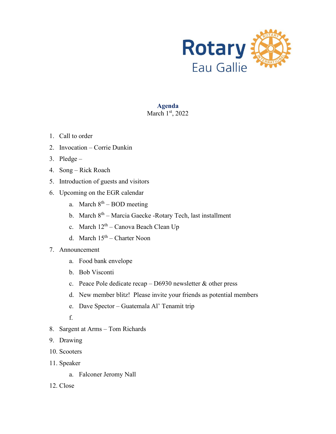

#### **Agenda** March 1st, 2022

- 1. Call to order
- 2. Invocation Corrie Dunkin
- 3. Pledge –
- 4. Song Rick Roach
- 5. Introduction of guests and visitors
- 6. Upcoming on the EGR calendar
	- a. March  $8<sup>th</sup> BOD$  meeting
	- b. March  $8<sup>th</sup>$  Marcia Gaecke -Rotary Tech, last installment
	- c. March  $12^{th}$  Canova Beach Clean Up
	- d. March  $15<sup>th</sup>$  Charter Noon
- 7. Announcement
	- a. Food bank envelope
	- b. Bob Visconti
	- c. Peace Pole dedicate recap D6930 newsletter & other press
	- d. New member blitz! Please invite your friends as potential members
	- e. Dave Spector Guatemala Al' Tenamit trip
	- f.
- 8. Sargent at Arms Tom Richards
- 9. Drawing
- 10. Scooters
- 11. Speaker
	- a. Falconer Jeromy Nall
- 12. Close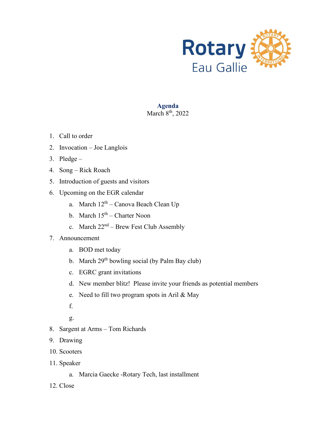

#### **Agenda** March  $8<sup>th</sup>$ , 2022

- 1. Call to order
- 2. Invocation Joe Langlois
- 3. Pledge –
- 4. Song Rick Roach
- 5. Introduction of guests and visitors
- 6. Upcoming on the EGR calendar
	- a. March  $12<sup>th</sup>$  Canova Beach Clean Up
	- b. March  $15<sup>th</sup>$  Charter Noon
	- c. March  $22^{nd}$  Brew Fest Club Assembly
- 7. Announcement
	- a. BOD met today
	- b. March  $29<sup>th</sup>$  bowling social (by Palm Bay club)
	- c. EGRC grant invitations
	- d. New member blitz! Please invite your friends as potential members
	- e. Need to fill two program spots in Aril & May
	- f.
	- g.
- 8. Sargent at Arms Tom Richards
- 9. Drawing
- 10. Scooters
- 11. Speaker
	- a. Marcia Gaecke -Rotary Tech, last installment
- 12. Close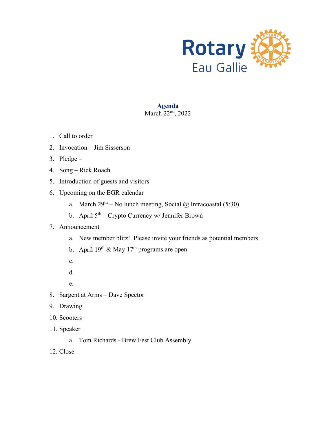

# **Agenda** March 22<sup>nd</sup>, 2022

- 1. Call to order
- 2. Invocation Jim Sisserson
- 3. Pledge –
- 4. Song Rick Roach
- 5. Introduction of guests and visitors
- 6. Upcoming on the EGR calendar
	- a. March  $29^{th}$  No lunch meeting, Social @ Intracoastal (5:30)
	- b. April 5th Crypto Currency w/ Jennifer Brown

- a. New member blitz! Please invite your friends as potential members
- b. April  $19^{th}$  & May  $17^{th}$  programs are open
- c.
- d.
- e.
- 8. Sargent at Arms Dave Spector
- 9. Drawing
- 10. Scooters
- 11. Speaker
	- a. Tom Richards Brew Fest Club Assembly
- 12. Close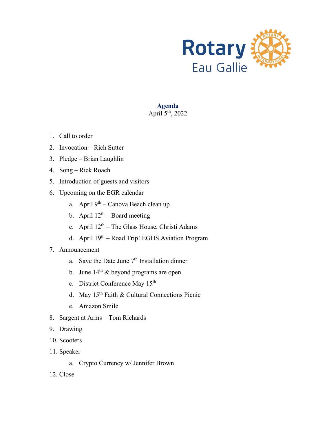

**Agenda** April  $5<sup>th</sup>$ , 2022

- 1. Call to order
- 2. Invocation Rich Sutter
- 3. Pledge Brian Laughlin
- 4. Song Rick Roach
- 5. Introduction of guests and visitors
- 6. Upcoming on the EGR calendar
	- a. April  $9<sup>th</sup>$  Canova Beach clean up
	- b. April  $12^{th}$  Board meeting
	- c. April  $12^{th}$  The Glass House, Christi Adams
	- d. April 19th Road Trip! EGHS Aviation Program
- 7. Announcement
	- a. Save the Date June  $7<sup>th</sup>$  Installation dinner
	- b. June  $14<sup>th</sup>$  & beyond programs are open
	- c. District Conference May 15<sup>th</sup>
	- d. May 15th Faith & Cultural Connections Picnic
	- e. Amazon Smile
- 8. Sargent at Arms Tom Richards
- 9. Drawing
- 10. Scooters
- 11. Speaker
	- a. Crypto Currency w/ Jennifer Brown
- 12. Close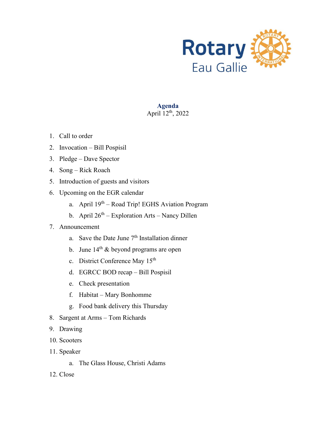

# **Agenda** April  $12^{th}$ , 2022

- 1. Call to order
- 2. Invocation Bill Pospisil
- 3. Pledge Dave Spector
- 4. Song Rick Roach
- 5. Introduction of guests and visitors
- 6. Upcoming on the EGR calendar
	- a. April 19th Road Trip! EGHS Aviation Program
	- b. April  $26<sup>th</sup>$  Exploration Arts Nancy Dillen
- 7. Announcement
	- a. Save the Date June  $7<sup>th</sup>$  Installation dinner
	- b. June  $14<sup>th</sup>$  & beyond programs are open
	- c. District Conference May 15<sup>th</sup>
	- d. EGRCC BOD recap Bill Pospisil
	- e. Check presentation
	- f. Habitat Mary Bonhomme
	- g. Food bank delivery this Thursday
- 8. Sargent at Arms Tom Richards
- 9. Drawing
- 10. Scooters
- 11. Speaker
	- a. The Glass House, Christi Adams
- 12. Close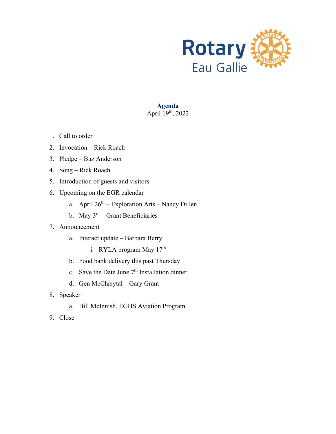

**Agenda** April 19th, 2022

- 1. Call to order
- 2. Invocation Rick Roach
- 3. Pledge Buz Anderson
- 4. Song Rick Roach
- 5. Introduction of guests and visitors
- 6. Upcoming on the EGR calendar
	- a. April  $26<sup>th</sup>$  Exploration Arts Nancy Dillen
	- b. May  $3^{rd}$  Grant Beneficiaries
- 7. Announcement
	- a. Interact update Barbara Berry
		- i. RYLA program May 17<sup>th</sup>
	- b. Food bank delivery this past Thursday
	- c. Save the Date June  $7<sup>th</sup>$  Installation dinner
	- d. Gen McChrsytal Gary Grant
- 8. Speaker
	- a. Bill McInnish, EGHS Aviation Program
- 9. Close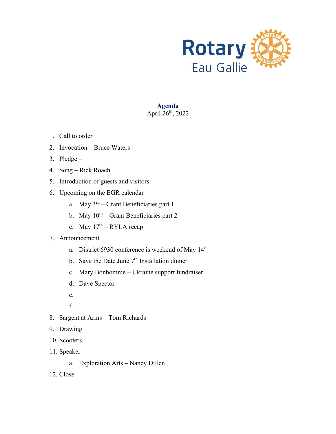

**Agenda** April  $26<sup>th</sup>$ , 2022

- 1. Call to order
- 2. Invocation Bruce Waters
- 3. Pledge –
- 4. Song Rick Roach
- 5. Introduction of guests and visitors
- 6. Upcoming on the EGR calendar
	- a. May  $3<sup>rd</sup>$  Grant Beneficiaries part 1
	- b. May  $10^{th}$  Grant Beneficiaries part 2
	- c. May  $17<sup>th</sup> RYLA$  recap
- 7. Announcement
	- a. District 6930 conference is weekend of May 14<sup>th</sup>
	- b. Save the Date June  $7<sup>th</sup>$  Installation dinner
	- c. Mary Bonhomme Ukraine support fundraiser
	- d. Dave Spector
	- e.
	- f.
- 8. Sargent at Arms Tom Richards
- 9. Drawing
- 10. Scooters
- 11. Speaker
	- a. Exploration Arts Nancy Dillen
- 12. Close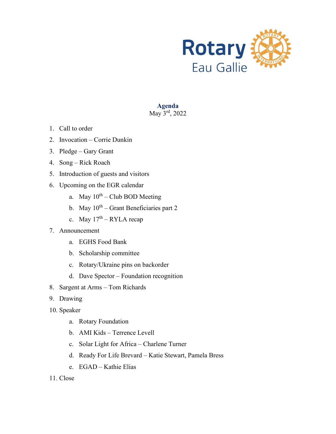

**Agenda** May  $3^{\text{rd}}$ , 2022

- 1. Call to order
- 2. Invocation Corrie Dunkin
- 3. Pledge Gary Grant
- 4. Song Rick Roach
- 5. Introduction of guests and visitors
- 6. Upcoming on the EGR calendar
	- a. May  $10^{th}$  Club BOD Meeting
	- b. May  $10^{th}$  Grant Beneficiaries part 2
	- c. May  $17<sup>th</sup> RYLA$  recap
- 7. Announcement
	- a. EGHS Food Bank
	- b. Scholarship committee
	- c. Rotary/Ukraine pins on backorder
	- d. Dave Spector Foundation recognition
- 8. Sargent at Arms Tom Richards
- 9. Drawing
- 10. Speaker
	- a. Rotary Foundation
	- b. AMI Kids Terrence Levell
	- c. Solar Light for Africa Charlene Turner
	- d. Ready For Life Brevard Katie Stewart, Pamela Bress
	- e. EGAD Kathie Elias
- 11. Close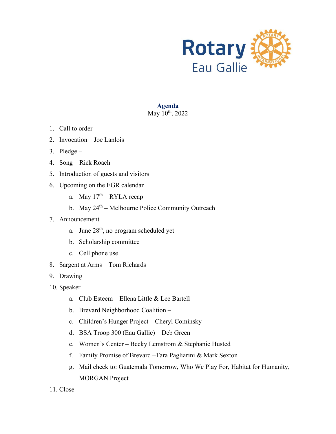

#### **Agenda** May 10<sup>th</sup>, 2022

- 1. Call to order
- 2. Invocation Joe Lanlois
- 3. Pledge –
- 4. Song Rick Roach
- 5. Introduction of guests and visitors
- 6. Upcoming on the EGR calendar
	- a. May  $17<sup>th</sup> RYLA$  recap
	- b. May  $24<sup>th</sup>$  Melbourne Police Community Outreach
- 7. Announcement
	- a. June  $28<sup>th</sup>$ , no program scheduled yet
	- b. Scholarship committee
	- c. Cell phone use
- 8. Sargent at Arms Tom Richards
- 9. Drawing
- 10. Speaker
	- a. Club Esteem Ellena Little & Lee Bartell
	- b. Brevard Neighborhood Coalition –
	- c. Children's Hunger Project Cheryl Cominsky
	- d. BSA Troop 300 (Eau Gallie) Deb Green
	- e. Women's Center Becky Lemstrom & Stephanie Husted
	- f. Family Promise of Brevard –Tara Pagliarini & Mark Sexton
	- g. Mail check to: Guatemala Tomorrow, Who We Play For, Habitat for Humanity, MORGAN Project
- 11. Close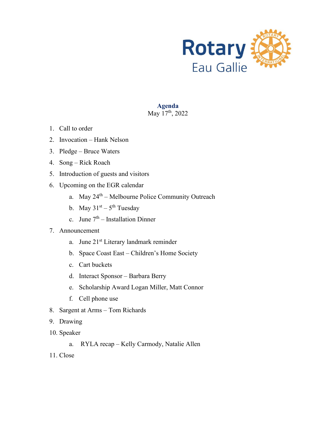

#### **Agenda** May 17<sup>th</sup>, 2022

- 1. Call to order
- 2. Invocation Hank Nelson
- 3. Pledge Bruce Waters
- 4. Song Rick Roach
- 5. Introduction of guests and visitors
- 6. Upcoming on the EGR calendar
	- a. May 24<sup>th</sup> Melbourne Police Community Outreach
	- b. May  $31<sup>st</sup> 5<sup>th</sup> Tuesday$
	- c. June  $7<sup>th</sup>$  Installation Dinner
- 7. Announcement
	- a. June 21<sup>st</sup> Literary landmark reminder
	- b. Space Coast East Children's Home Society
	- c. Cart buckets
	- d. Interact Sponsor Barbara Berry
	- e. Scholarship Award Logan Miller, Matt Connor
	- f. Cell phone use
- 8. Sargent at Arms Tom Richards
- 9. Drawing
- 10. Speaker
	- a. RYLA recap Kelly Carmody, Natalie Allen
- 11. Close